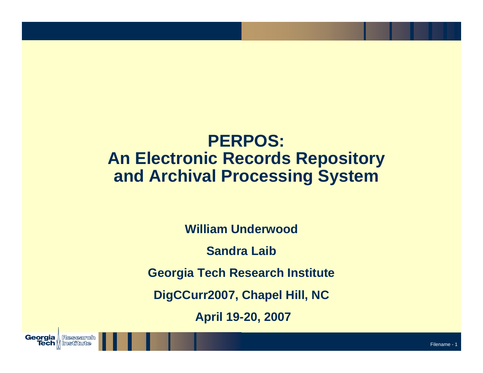#### **PERPOS: An Electronic Records Repository and Archival Processing System**

**William Underwood**

**Sandra Laib**

**Georgia Tech Research Institute**

**DigCCurr2007, Chapel Hill, NC**

**April 19-20, 2007**

Georgia

, Research

**Tech | Institute**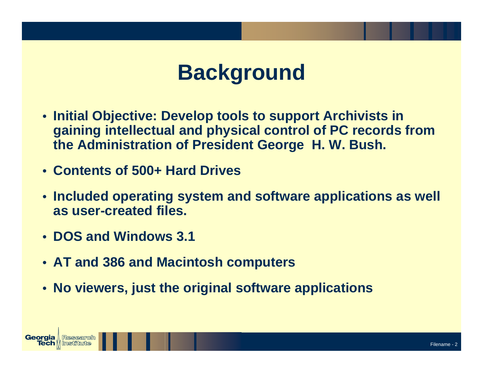# **Background**

- **Initial Objective: Develop tools to support Archivists in gaining intellectual and physical control of PC records from the Administration of President George H. W. Bush.**
- **Contents of 500+ Hard Drives**
- **Included operating system and software applications as well as user-created files.**
- **DOS and Windows 3.1**
- **AT and 386 and Macintosh computers**
- **No viewers, just the original software applications**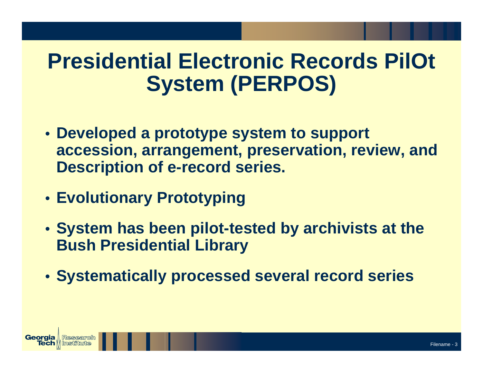# **Presidential Electronic Records PilOt System (PERPOS)**

- **Developed a prototype system to support accession, arrangement, preservation, review, and Description of e-record series.**
- **Evolutionary Prototyping**
- **System has been pilot-tested by archivists at the Bush Presidential Library**
- **Systematically processed several record series**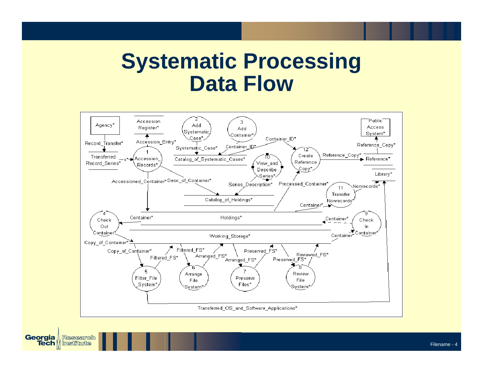### **Systematic Processing Data Flow**



Georgia

Research

**Tech || Institute**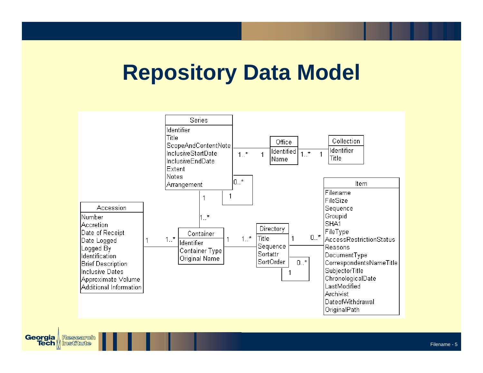# **Repository Data Model**



**Georgia** Research **Tech || Institute**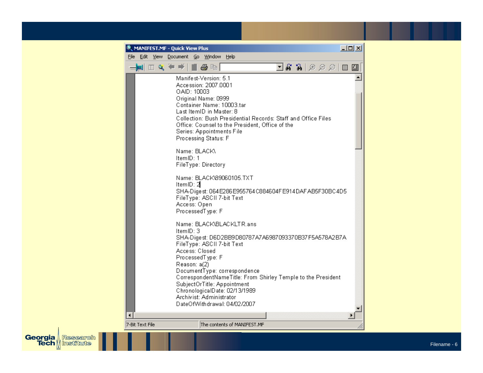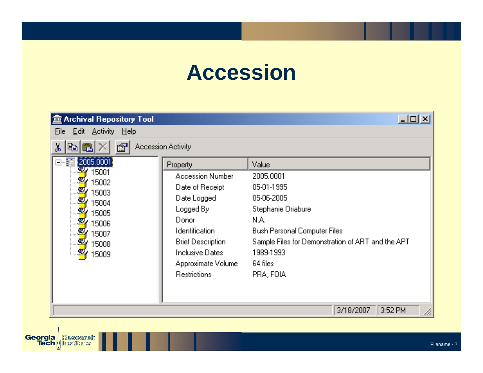# **Accession**

| <b>Archival Repository Tool</b> |                           | $\Box$                                            |
|---------------------------------|---------------------------|---------------------------------------------------|
| Edit Activity Help<br>File      |                           |                                                   |
| ð<br>‰<br>Ê.<br>eb.             | <b>Accession Activity</b> |                                                   |
| 2005.0001<br>8-E                | Property                  | Value                                             |
| 27<br>15001                     | Accession Number          | 2005.0001                                         |
| 15002<br>15003                  | Date of Receipt           | 05-01-1995                                        |
| 15004                           | Date Logged               | 05-06-2005                                        |
| 15005                           | Logged By                 | Stephanie Oriabure                                |
| 15006                           | Donor                     | N.A.                                              |
| 15007                           | <b>Identification</b>     | Bush Personal Computer Files                      |
| 15008                           | <b>Brief Description</b>  | Sample Files for Demonstration of ART and the APT |
| 15009                           | Inclusive Dates           | 1989-1993                                         |
|                                 | Approximate Volume        | 64 files                                          |
|                                 | <b>Restrictions</b>       | PRA, FOIA                                         |
|                                 |                           |                                                   |
|                                 |                           |                                                   |
|                                 |                           | 3/18/2007<br>3:52 PM                              |

**Georgia** Research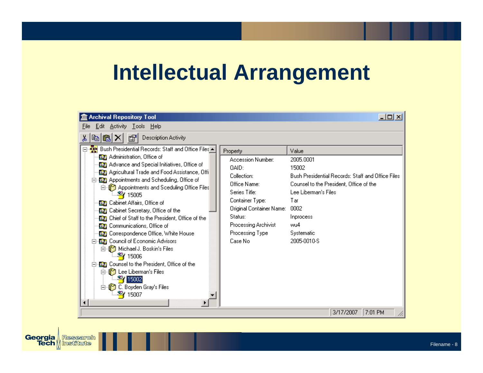## **Intellectual Arrangement**

| 盒 Archival Repository Tool                                                                                                                                                                                                                                                                                                                                                                                                                                                                                                                                                                                                                                                                                                                                                              |                                                                                                                                                                                                        | 그미지                                                                                                                                                                                                                 |
|-----------------------------------------------------------------------------------------------------------------------------------------------------------------------------------------------------------------------------------------------------------------------------------------------------------------------------------------------------------------------------------------------------------------------------------------------------------------------------------------------------------------------------------------------------------------------------------------------------------------------------------------------------------------------------------------------------------------------------------------------------------------------------------------|--------------------------------------------------------------------------------------------------------------------------------------------------------------------------------------------------------|---------------------------------------------------------------------------------------------------------------------------------------------------------------------------------------------------------------------|
| <b>Edit Activity Tools Help</b><br>File                                                                                                                                                                                                                                                                                                                                                                                                                                                                                                                                                                                                                                                                                                                                                 |                                                                                                                                                                                                        |                                                                                                                                                                                                                     |
| Description Activity<br>☞<br>G.<br>喞<br>òб                                                                                                                                                                                                                                                                                                                                                                                                                                                                                                                                                                                                                                                                                                                                              |                                                                                                                                                                                                        |                                                                                                                                                                                                                     |
| ⊟ May Bush Presidential Records: Staff and Office Files ▲<br><b>@n</b> Administration, Office of<br><b>(2)</b> Advance and Special Initiatives, Office of<br>(G) Agricultural Trade and Food Assistance, Offi<br>白 50 Appointments and Scheduling, Office of<br>白 Sceduling Office Files<br>-¥¥ 15005<br><b>DEE</b> Cabinet Affairs, Office of<br><b>DEED</b> Cabinet Secretary, Office of the<br><b>【题</b> 】 Chief of Staff to the President, Office of the<br><b>On Communications, Office of</b><br><b>White House</b> Correspondence Office, White House<br>-Brill Council of Economic Advisors<br>白 Soskin's Files<br>—¥¥ 15006<br><b>WE Counsel to the President, Office of the</b><br>白 See Liberman's Files<br><b>24</b> 15002<br>C. Boyden Gray's Files<br>Ėŀ<br>-119<br>15007 | Property<br>Accession Number:<br>OAID:<br>Collection:<br>Office Name:<br>Series Title:<br>Container Type:<br>Original Container Name:<br>Status:<br>Processing Archivist<br>Processing Type<br>Case No | Value<br>2005.0001<br>15002<br>Bush Presidential Records: Staff and Office Files<br>Counsel to the President, Office of the<br>Lee Liberman's Files<br>Tar<br>0002<br>Inprocess<br>wu4<br>Systematic<br>2005-0010-S |
|                                                                                                                                                                                                                                                                                                                                                                                                                                                                                                                                                                                                                                                                                                                                                                                         |                                                                                                                                                                                                        | 7:01 PM<br>3/17/2007                                                                                                                                                                                                |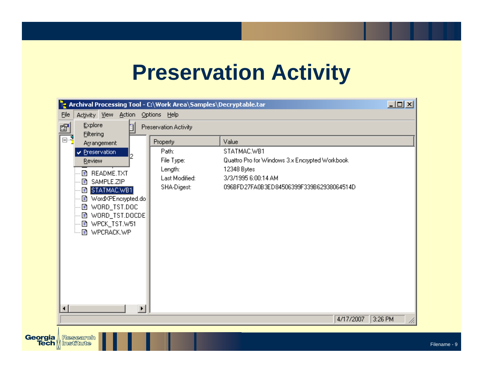### **Preservation Activity**

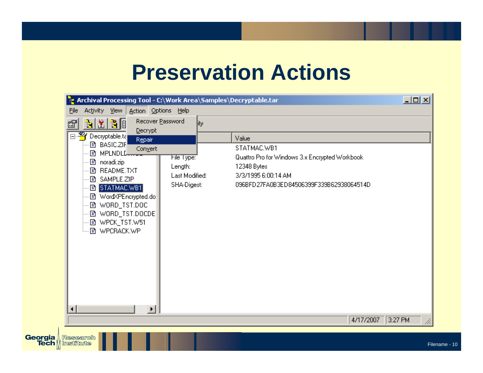### **Preservation Actions**

| <mark>ie</mark> Archival Processing Tool - C:\Work Area\Samples\Decryptable.tar                                                                                                                                                            |                                                        |                                                                                                                                                 | $\Box$ u $\times$ |
|--------------------------------------------------------------------------------------------------------------------------------------------------------------------------------------------------------------------------------------------|--------------------------------------------------------|-------------------------------------------------------------------------------------------------------------------------------------------------|-------------------|
| Activity View Action Options Help<br>Eile                                                                                                                                                                                                  |                                                        |                                                                                                                                                 |                   |
| <u>n X X G</u><br>f1                                                                                                                                                                                                                       | Recover Password<br> ity                               |                                                                                                                                                 |                   |
| Decrypt<br>日 <sup>3</sup> Decryptable.ta<br>Repair:                                                                                                                                                                                        |                                                        | Value                                                                                                                                           |                   |
| <b>■ BASIC.ZIF</b><br>Convert<br><b>■ MPLNDLL</b><br>目 noradi.zip<br>■ README.TXT<br><b>■ SAMPLE.ZIP</b><br><b>B STATMAC.WB1</b><br>■ Word×PEncrypted.do<br>■ WORD_TST.DOC<br><b>■ WORD_TST.DOCDE</b><br>图 WPCK_TST.W51<br>└─ h WPCRACK.WP | File Type:<br>Length:<br>Last Modified:<br>SHA-Digest: | STATMAC.WB1<br>Quattro Pro for Windows 3.x Encrypted Workbook<br>12348 Bytes<br>3/3/1995 6:00:14 AM<br>096BFD27FA0B3ED84506399F339B62938064514D |                   |
| $\left  \cdot \right $<br>$\blacktriangleright$<br>Research<br>  Institute                                                                                                                                                                 |                                                        | 4/17/2007 3:27 PM                                                                                                                               |                   |

Georgia **Tech**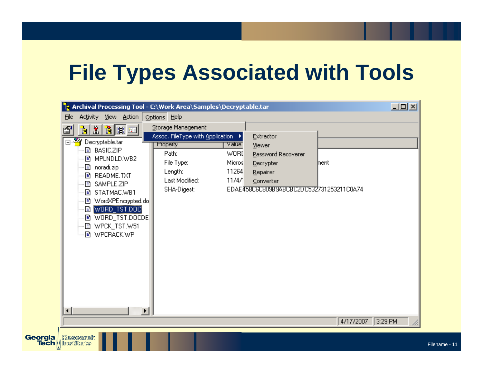# **File Types Associated with Tools**

| Activity View Action<br>Eile<br>61<br>□ <sup>8</sup> Decryptable.tar<br><b>■ BASIC.ZIP</b><br>■ MPLNDLD.WB2<br>图 noradi.zip<br>·固 README.TXT<br>… @ SAMPLE.ZIP<br>… @ STATMAC.WB1<br>… @ Word×PEncrypted.do<br>--- B [WORD_TST.DOC]<br>---固=WORD_TST.DOCDE <br>--- 国 WPCK_TST.W51<br>·固 WPCRACK.WP | Options Help<br>Storage Management<br>Assoc. FileType with Application ▶<br><b>Property</b><br>Path:<br>File Type:<br>Length:<br>Last Modified:<br>SHA-Digest: | Value<br>WORI<br>Micros<br>11264<br>11/4/ | Extractor<br>Viewer<br>Password Recoverer<br>Decrypter<br>Repairer<br>Converter<br>EDAE458C6C809B9ABCBC2DC532731253211C0A74 | lnent.    |         |
|----------------------------------------------------------------------------------------------------------------------------------------------------------------------------------------------------------------------------------------------------------------------------------------------------|----------------------------------------------------------------------------------------------------------------------------------------------------------------|-------------------------------------------|-----------------------------------------------------------------------------------------------------------------------------|-----------|---------|
| $\blacktriangleright$                                                                                                                                                                                                                                                                              |                                                                                                                                                                |                                           |                                                                                                                             | 4/17/2007 | 3:29 PM |

Georgia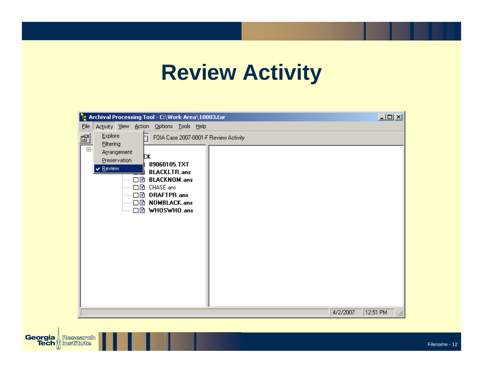# **Review Activity**

| <b>Pe</b> Archival Processing Tool - C:\Work Area\10003.tar                                                                                                                                                                                                                                   |          | $\Box$ D $\times$ |  |
|-----------------------------------------------------------------------------------------------------------------------------------------------------------------------------------------------------------------------------------------------------------------------------------------------|----------|-------------------|--|
| Eile<br>Activity View Action Options Tools Help                                                                                                                                                                                                                                               |          |                   |  |
| Explore<br>$\mathbb{S}^1$<br>FOIA Case 2007-0001-F Review Activity<br>h<br><b>Filtering</b><br>$\Box$<br>Arrangement<br>þк<br>Preservation<br>89060105.TXT<br>$\vee$ Review<br><b>BLACKLTR.ans</b><br><b>BLACKNOM.ans</b><br>口目<br><br>⊡€<br>CHASE.ans<br>□ DRAFTPR.ans<br>— □ ③ NOMBLACK.ans |          |                   |  |
|                                                                                                                                                                                                                                                                                               |          |                   |  |
|                                                                                                                                                                                                                                                                                               | 4/2/2007 | 12:51 PM          |  |

**Georgia** Research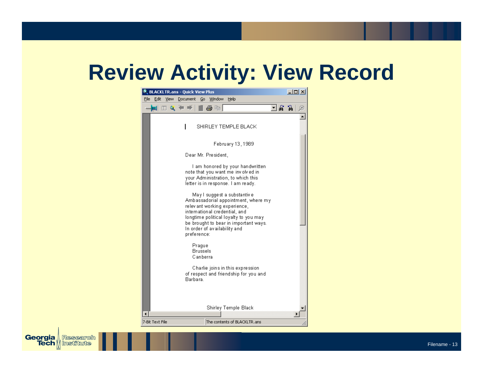# **Review Activity: View Record**

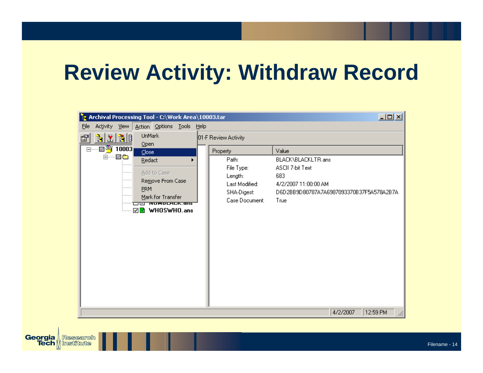# **Review Activity: Withdraw Record**

|      | <b>Pe Archival Processing Tool - C:\Work Area\10003.tar</b>                                      |                                                                                                                         |  |                      |                                                                                   |                                                                                                                                    |          | $\Box$   |
|------|--------------------------------------------------------------------------------------------------|-------------------------------------------------------------------------------------------------------------------------|--|----------------------|-----------------------------------------------------------------------------------|------------------------------------------------------------------------------------------------------------------------------------|----------|----------|
| Eile | Activity                                                                                         | View Action Options Tools Help                                                                                          |  |                      |                                                                                   |                                                                                                                                    |          |          |
| f?   |                                                                                                  | <b>UnMark</b>                                                                                                           |  | 01-F Review Activity |                                                                                   |                                                                                                                                    |          |          |
|      | b X X B<br>⊟—⊠ <sup>32</sup> ∫ 10003 <mark> </mark><br><b>⊟……</b> 7 <b>®</b><br><br><br><br><br> | Open<br>$C$ lose<br>Redact<br>Add to Case<br>Remove From Case<br><b>PRM</b><br>Mark for Transfer<br>□□ त्वाकाटस्टरः बाह |  | Property             | Path:<br>File Type:<br>Length:<br>Last Modified:<br>SHA-Digest:<br>Case Document: | Value<br>BLACK\BLACKLTR.ans<br>ASCII 7-bit Text<br>683<br>4/2/2007 11:00:00 AM<br>D6D2BB9D80787A7A6987093370B37F5A578A2B7A<br>True |          |          |
|      |                                                                                                  |                                                                                                                         |  |                      |                                                                                   |                                                                                                                                    |          |          |
|      |                                                                                                  |                                                                                                                         |  |                      |                                                                                   |                                                                                                                                    | 4/2/2007 | 12:59 PM |

**Georgia** Research

Research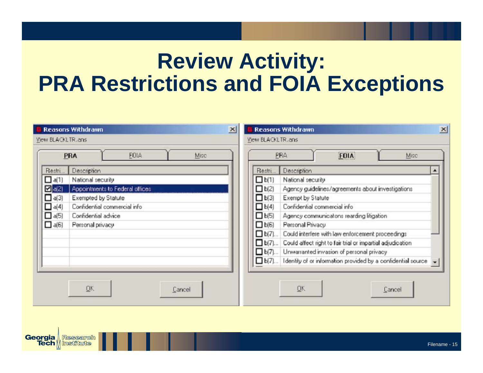# **Review Activity: PRA Restrictions and FOIA Exceptions**

|                     | $\mathbf{x}$<br>Reasons Withdrawn |                   | <b>Reasons Withdrawn</b>                                                    | $\vert x \vert$ |
|---------------------|-----------------------------------|-------------------|-----------------------------------------------------------------------------|-----------------|
| View BLACKLTR.ans   |                                   | View BLACKLTR.ans |                                                                             |                 |
|                     | FOIA<br>Misc<br>PRA               |                   | PRA<br><b>FOIA</b><br>Misc                                                  |                 |
| Restri              | Description                       | Restri            | Description                                                                 |                 |
| $\Box$ a(1)         | National security                 | D <sub>b(1)</sub> | National security                                                           |                 |
| $\blacksquare$ a(2) | Appointments to Federal offices   | $\Box$ b(2)       | Agency guidelines/agreements about investigations                           |                 |
| $\Box$ a(3)         | Exempted by Statute               | $\Box$ b(3)       | Exempt by Statute                                                           |                 |
| $\Box$ a(4)         | Confidential commercial info      | $\Box$ b(4)       | Confidential commercial info                                                |                 |
| $\Box$ a(5)         | Confidential advice               | $L_{b(5)}$        | Agency communicatons rearding litigation                                    |                 |
| $\Box$ a(6)         | Personal privacy                  | $\Box$ b(6)       | Personal Privacy                                                            |                 |
|                     |                                   | $\Box$ b(7)       | Could interfere with law enforcement proceedings                            |                 |
|                     |                                   | $\Box$ b(7)       | Could affect right to fair trial or impartial adjudication                  |                 |
|                     |                                   | $\Box$ b(7)       | Unwarranted invasion of personal privacy                                    |                 |
|                     |                                   | $\Box$ b(7)       | I dentity of or information provided by a confidential source $\  \cdot \ $ |                 |
|                     |                                   |                   |                                                                             |                 |
|                     |                                   |                   |                                                                             |                 |
|                     | ŪΚ<br>Cancel                      |                   | ŪΚ<br>Cancel                                                                |                 |
|                     |                                   |                   |                                                                             |                 |

Georgia

. Research

**Tech || Institute**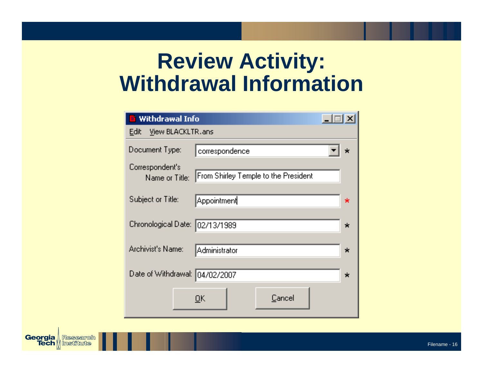# **Review Activity: Withdrawal Information**

| <b>El</b> Withdrawal Info         |                                      |         |
|-----------------------------------|--------------------------------------|---------|
| <b>Edit</b><br>View BLACKLTR.ans  |                                      |         |
| Document Type:                    | correspondence                       |         |
| Correspondent's<br>Name or Title: | From Shirley Temple to the President |         |
| Subject or Title:                 | ∥Appointment                         | ∗       |
| Chronological Date: [02/13/1989   | ×                                    |         |
| Archivist's Name:                 | Administrator                        | $\star$ |
| Date of Withdrawal: 04/02/2007    |                                      | $\star$ |
|                                   | Cancel<br>OK.                        |         |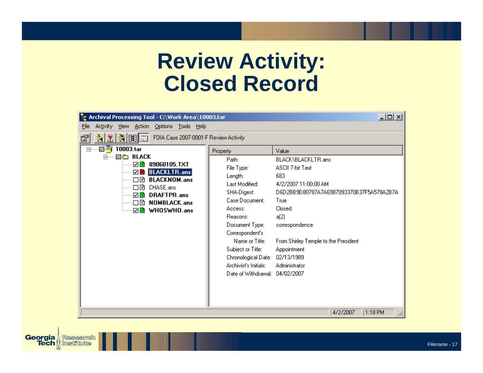### **Review Activity: Closed Record**

| <b>E</b> Archival Processing Tool - C:\Work Area\10003.tar |                                | 그미지                                      |
|------------------------------------------------------------|--------------------------------|------------------------------------------|
| Activity View Action Options Tools Help<br>File            |                                |                                          |
| 计划时间<br>FOIA Case 2007-0001-F Review Activity<br>é         |                                |                                          |
| ⊟····· 図 <sup>32</sup> 4 10003.tar                         | Property                       | Value                                    |
| <b>⊠ @</b> BLACK<br> = ……                                  | Path:                          | BLACK\BLACKLTR.ans                       |
| ☑B 89060105.TXT<br><b>☑ BLACKLTR.ans</b>                   | File Type:                     | ASCII 7-bit Text                         |
| —— □ B BLACKNOM.ans                                        | Length:                        | 683                                      |
| ┈┈□固 CHASE.ans                                             | Last Modified:                 | 4/2/2007 11:00:00 AM                     |
| ☑ B DRAFTPR.ans                                            | SHA-Digest:                    | D6D2BB9D80787A7A6987093370B37F5A578A2B7A |
|                                                            | Case Document:                 | True                                     |
|                                                            | Access:                        | Closed                                   |
|                                                            | Reasons:                       | a(2)                                     |
|                                                            | Document Type:                 | correspondence                           |
|                                                            | Correspondent's                |                                          |
|                                                            | Name or Title:                 | From Shirley Temple to the President     |
|                                                            | Subject or Title:              | Appointment                              |
|                                                            | Chronological Date: 02/13/1989 |                                          |
|                                                            | Archivist's Initials:          | Administrator                            |
|                                                            | Date of Withdrawal: 04/02/2007 |                                          |
|                                                            |                                |                                          |
|                                                            |                                |                                          |
|                                                            |                                |                                          |
|                                                            |                                | 4/2/2007<br>$1:18$ PM                    |

**Georgia** Research

Research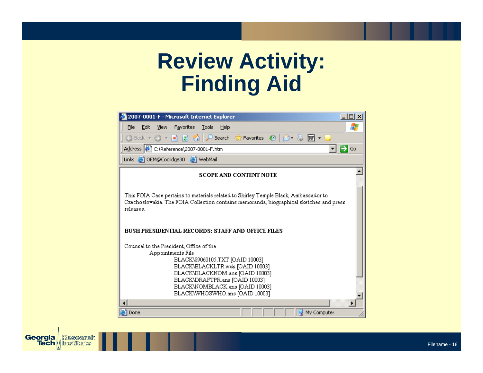# **Review Activity: Finding Aid**

| 2007-0001-F - Microsoft Internet Explorer                                                                                                                                                                                                                                   | $ \Box$ $\times$ |
|-----------------------------------------------------------------------------------------------------------------------------------------------------------------------------------------------------------------------------------------------------------------------------|------------------|
| Edit<br>Favorites<br>File<br>View<br>Tools<br>Help                                                                                                                                                                                                                          |                  |
| $\bigcirc$ Back $\ast$ $\ominus$ $\ast$ $\mathbb{R}$ $\bigcirc$ $\bigcirc$ $\bigcirc$ $\bigcirc$ Search $\circ$ Favorites $\bigcirc$<br>$\beta$ . $\mathbb{R}$ .                                                                                                            |                  |
| Address C:\Reference\2007-0001-F.htm                                                                                                                                                                                                                                        | $\Rightarrow$ Go |
| Links @ OEM@Coolidge30 @ WebMail                                                                                                                                                                                                                                            |                  |
| <b>SCOPE AND CONTENT NOTE</b>                                                                                                                                                                                                                                               |                  |
| This FOIA Case pertains to materials related to Shirley Temple Black, Ambassador to<br>Czechoslovakia. The FOIA Collection contains memoranda, biographical sketches and press<br>releases.                                                                                 |                  |
| <b>BUSH PRESIDENTIAL RECORDS: STAFF AND OFFICE FILES</b>                                                                                                                                                                                                                    |                  |
| Counsel to the President, Office of the<br>Appointments File<br>BLACK\89060105.TXT [OAID 10003]<br>BLACK\BLACKLTR.wds [OAID 10003]<br>BLACK\BLACKNOM.ans [OAID 10003]<br>BLACK\DRAFTPR.ans [OAID 10003]<br>BLACKWOMBLACK.ans [OAID 10003]<br>BLACK\WHOSWHO.ans [OAID 10003] |                  |
| My Computer<br>Done                                                                                                                                                                                                                                                         |                  |